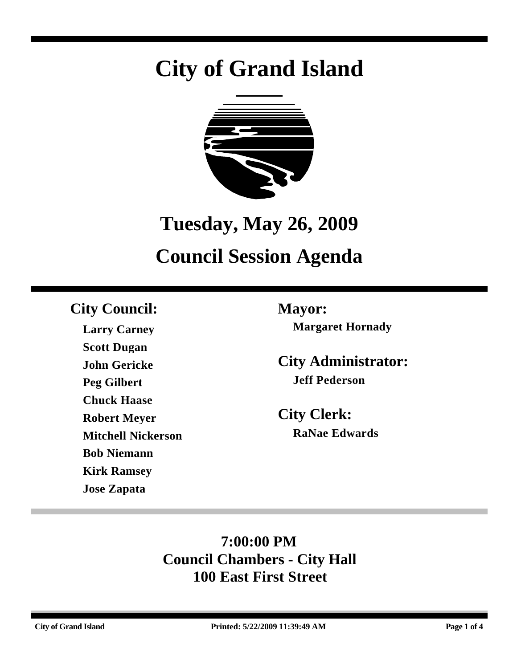# **City of Grand Island**



## **Tuesday, May 26, 2009**

## **Council Session Agenda**

## **City Council: Mayor:**

**Larry Carney Scott Dugan John Gericke Peg Gilbert Chuck Haase Robert Meyer Mitchell Nickerson Bob Niemann Kirk Ramsey Jose Zapata**

**Margaret Hornady**

**City Administrator: Jeff Pederson**

**City Clerk: RaNae Edwards**

## **7:00:00 PM Council Chambers - City Hall 100 East First Street**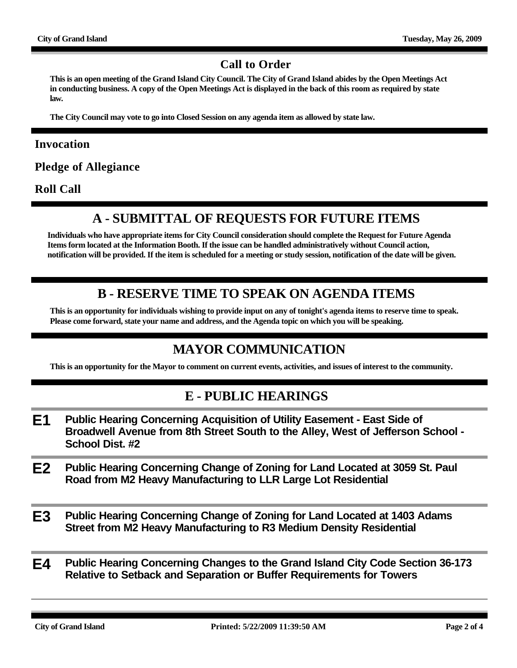#### **Call to Order**

**This is an open meeting of the Grand Island City Council. The City of Grand Island abides by the Open Meetings Act in conducting business. A copy of the Open Meetings Act is displayed in the back of this room as required by state law.**

**The City Council may vote to go into Closed Session on any agenda item as allowed by state law.**

#### **Invocation**

**Pledge of Allegiance**

**Roll Call**

### **A - SUBMITTAL OF REQUESTS FOR FUTURE ITEMS**

**Individuals who have appropriate items for City Council consideration should complete the Request for Future Agenda Items form located at the Information Booth. If the issue can be handled administratively without Council action, notification will be provided. If the item is scheduled for a meeting or study session, notification of the date will be given.**

#### **B - RESERVE TIME TO SPEAK ON AGENDA ITEMS**

**This is an opportunity for individuals wishing to provide input on any of tonight's agenda items to reserve time to speak. Please come forward, state your name and address, and the Agenda topic on which you will be speaking.**

#### **MAYOR COMMUNICATION**

**This is an opportunity for the Mayor to comment on current events, activities, and issues of interest to the community.**

#### **E - PUBLIC HEARINGS**

- **E1 Public Hearing Concerning Acquisition of Utility Easement East Side of Broadwell Avenue from 8th Street South to the Alley, West of Jefferson School - School Dist. #2**
- **E2 Public Hearing Concerning Change of Zoning for Land Located at 3059 St. Paul Road from M2 Heavy Manufacturing to LLR Large Lot Residential**
- **E3 Public Hearing Concerning Change of Zoning for Land Located at 1403 Adams Street from M2 Heavy Manufacturing to R3 Medium Density Residential**
- **E4 Public Hearing Concerning Changes to the Grand Island City Code Section 36-173 Relative to Setback and Separation or Buffer Requirements for Towers**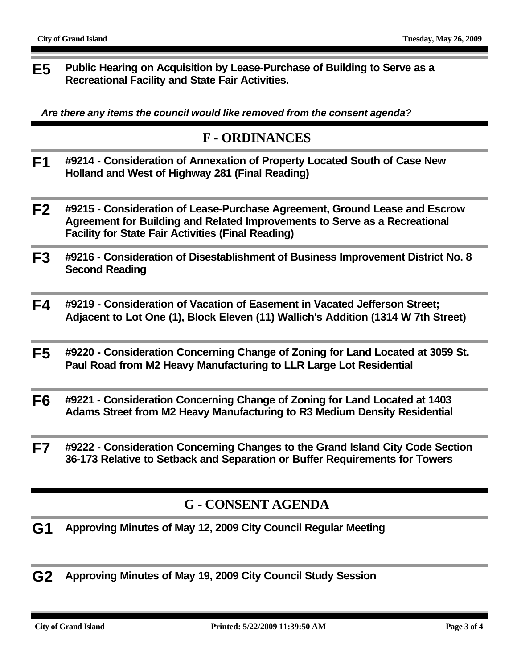**E5 Public Hearing on Acquisition by Lease-Purchase of Building to Serve as a Recreational Facility and State Fair Activities.**

*Are there any items the council would like removed from the consent agenda?*

#### **F - ORDINANCES**

- **F1 #9214 Consideration of Annexation of Property Located South of Case New Holland and West of Highway 281 (Final Reading)**
- **F2 #9215 Consideration of Lease-Purchase Agreement, Ground Lease and Escrow Agreement for Building and Related Improvements to Serve as a Recreational Facility for State Fair Activities (Final Reading)**
- **F3 #9216 Consideration of Disestablishment of Business Improvement District No. 8 Second Reading**
- **F4 #9219 Consideration of Vacation of Easement in Vacated Jefferson Street; Adjacent to Lot One (1), Block Eleven (11) Wallich's Addition (1314 W 7th Street)**
- **F5 #9220 Consideration Concerning Change of Zoning for Land Located at 3059 St. Paul Road from M2 Heavy Manufacturing to LLR Large Lot Residential**
- **F6 #9221 Consideration Concerning Change of Zoning for Land Located at 1403 Adams Street from M2 Heavy Manufacturing to R3 Medium Density Residential**
- **F7 #9222 Consideration Concerning Changes to the Grand Island City Code Section 36-173 Relative to Setback and Separation or Buffer Requirements for Towers**

### **G - CONSENT AGENDA**

- **G1 Approving Minutes of May 12, 2009 City Council Regular Meeting**
- **G2 Approving Minutes of May 19, 2009 City Council Study Session**